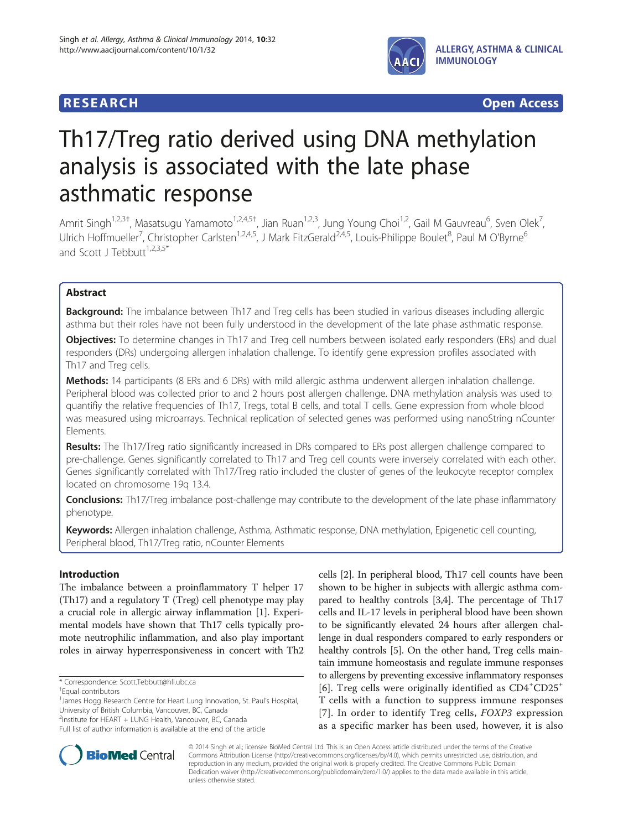## **ALLERGY, ASTHMA & CLINICAL IMMUNOLOGY**



# Th17/Treg ratio derived using DNA methylation analysis is associated with the late phase asthmatic response

Amrit Singh<sup>1,2,3†</sup>, Masatsugu Yamamoto<sup>1,2,4,5†</sup>, Jian Ruan<sup>1,2,3</sup>, Jung Young Choi<sup>1,2</sup>, Gail M Gauvreau<sup>6</sup>, Sven Olek<sup>7</sup> , Ulrich Hoffmueller<sup>7</sup>, Christopher Carlsten<sup>1,2,4,5</sup>, J Mark FitzGerald<sup>2,4,5</sup>, Louis-Philippe Boulet<sup>8</sup>, Paul M O'Byrne<sup>6</sup> and Scott J Tebbutt<sup>1,2,3,5\*</sup>

### Abstract

Background: The imbalance between Th17 and Treg cells has been studied in various diseases including allergic asthma but their roles have not been fully understood in the development of the late phase asthmatic response.

Objectives: To determine changes in Th17 and Treg cell numbers between isolated early responders (ERs) and dual responders (DRs) undergoing allergen inhalation challenge. To identify gene expression profiles associated with Th17 and Treg cells.

Methods: 14 participants (8 ERs and 6 DRs) with mild allergic asthma underwent allergen inhalation challenge. Peripheral blood was collected prior to and 2 hours post allergen challenge. DNA methylation analysis was used to quantifiy the relative frequencies of Th17, Tregs, total B cells, and total T cells. Gene expression from whole blood was measured using microarrays. Technical replication of selected genes was performed using nanoString nCounter Elements.

Results: The Th17/Treg ratio significantly increased in DRs compared to ERs post allergen challenge compared to pre-challenge. Genes significantly correlated to Th17 and Treg cell counts were inversely correlated with each other. Genes significantly correlated with Th17/Treg ratio included the cluster of genes of the leukocyte receptor complex located on chromosome 19q 13.4.

Conclusions: Th17/Treg imbalance post-challenge may contribute to the development of the late phase inflammatory phenotype.

Keywords: Allergen inhalation challenge, Asthma, Asthmatic response, DNA methylation, Epigenetic cell counting, Peripheral blood, Th17/Treg ratio, nCounter Elements

#### Introduction

The imbalance between a proinflammatory T helper 17 (Th17) and a regulatory T (Treg) cell phenotype may play a crucial role in allergic airway inflammation [[1\]](#page-7-0). Experimental models have shown that Th17 cells typically promote neutrophilic inflammation, and also play important roles in airway hyperresponsiveness in concert with Th2 cells [[2](#page-7-0)]. In peripheral blood, Th17 cell counts have been shown to be higher in subjects with allergic asthma compared to healthy controls [[3,4](#page-8-0)]. The percentage of Th17 cells and IL-17 levels in peripheral blood have been shown to be significantly elevated 24 hours after allergen challenge in dual responders compared to early responders or healthy controls [\[5](#page-8-0)]. On the other hand, Treg cells maintain immune homeostasis and regulate immune responses to allergens by preventing excessive inflammatory responses [[6\]](#page-8-0). Treg cells were originally identified as CD4<sup>+</sup>CD25<sup>+</sup> T cells with a function to suppress immune responses [[7](#page-8-0)]. In order to identify Treg cells, FOXP3 expression as a specific marker has been used, however, it is also



© 2014 Singh et al.; licensee BioMed Central Ltd. This is an Open Access article distributed under the terms of the Creative Commons Attribution License [\(http://creativecommons.org/licenses/by/4.0\)](http://creativecommons.org/licenses/by/4.0), which permits unrestricted use, distribution, and reproduction in any medium, provided the original work is properly credited. The Creative Commons Public Domain Dedication waiver [\(http://creativecommons.org/publicdomain/zero/1.0/](http://creativecommons.org/publicdomain/zero/1.0/)) applies to the data made available in this article, unless otherwise stated.

<sup>\*</sup> Correspondence: [Scott.Tebbutt@hli.ubc.ca](mailto:Scott.Tebbutt@hli.ubc.ca) †

Equal contributors

<sup>&</sup>lt;sup>1</sup> James Hogg Research Centre for Heart Lung Innovation, St. Paul's Hospital, University of British Columbia, Vancouver, BC, Canada

<sup>2</sup> Institute for HEART + LUNG Health, Vancouver, BC, Canada

Full list of author information is available at the end of the article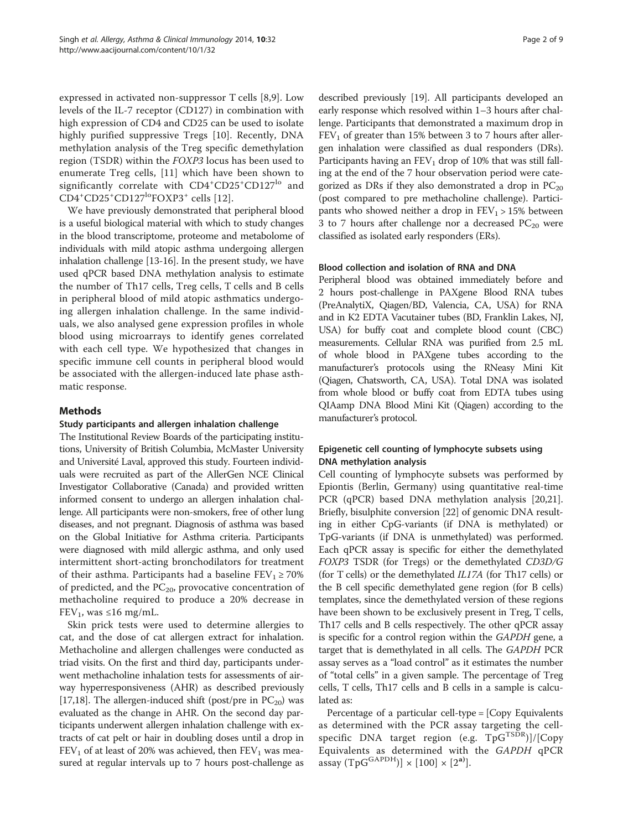expressed in activated non-suppressor T cells [\[8,9](#page-8-0)]. Low levels of the IL-7 receptor (CD127) in combination with high expression of CD4 and CD25 can be used to isolate highly purified suppressive Tregs [\[10\]](#page-8-0). Recently, DNA methylation analysis of the Treg specific demethylation region (TSDR) within the FOXP3 locus has been used to enumerate Treg cells, [[11\]](#page-8-0) which have been shown to significantly correlate with  $CD4^+CD25^+CD127^{lo}$  and CD4<sup>+</sup>CD25<sup>+</sup>CD127<sup>lo</sup>FOXP3<sup>+</sup> cells [[12\]](#page-8-0).

We have previously demonstrated that peripheral blood is a useful biological material with which to study changes in the blood transcriptome, proteome and metabolome of individuals with mild atopic asthma undergoing allergen inhalation challenge [[13](#page-8-0)-[16](#page-8-0)]. In the present study, we have used qPCR based DNA methylation analysis to estimate the number of Th17 cells, Treg cells, T cells and B cells in peripheral blood of mild atopic asthmatics undergoing allergen inhalation challenge. In the same individuals, we also analysed gene expression profiles in whole blood using microarrays to identify genes correlated with each cell type. We hypothesized that changes in specific immune cell counts in peripheral blood would be associated with the allergen-induced late phase asthmatic response.

#### Methods

#### Study participants and allergen inhalation challenge

The Institutional Review Boards of the participating institutions, University of British Columbia, McMaster University and Université Laval, approved this study. Fourteen individuals were recruited as part of the AllerGen NCE Clinical Investigator Collaborative (Canada) and provided written informed consent to undergo an allergen inhalation challenge. All participants were non-smokers, free of other lung diseases, and not pregnant. Diagnosis of asthma was based on the Global Initiative for Asthma criteria. Participants were diagnosed with mild allergic asthma, and only used intermittent short-acting bronchodilators for treatment of their asthma. Participants had a baseline  $FEV_1 \ge 70\%$ of predicted, and the  $PC_{20}$ , provocative concentration of methacholine required to produce a 20% decrease in FEV<sub>1</sub>, was ≤16 mg/mL.

Skin prick tests were used to determine allergies to cat, and the dose of cat allergen extract for inhalation. Methacholine and allergen challenges were conducted as triad visits. On the first and third day, participants underwent methacholine inhalation tests for assessments of airway hyperresponsiveness (AHR) as described previously [[17,18](#page-8-0)]. The allergen-induced shift (post/pre in  $PC_{20}$ ) was evaluated as the change in AHR. On the second day participants underwent allergen inhalation challenge with extracts of cat pelt or hair in doubling doses until a drop in  $FEV<sub>1</sub>$  of at least of 20% was achieved, then  $FEV<sub>1</sub>$  was measured at regular intervals up to 7 hours post-challenge as

described previously [\[19\]](#page-8-0). All participants developed an early response which resolved within 1–3 hours after challenge. Participants that demonstrated a maximum drop in  $FEV<sub>1</sub>$  of greater than 15% between 3 to 7 hours after allergen inhalation were classified as dual responders (DRs). Participants having an  $FEV<sub>1</sub>$  drop of 10% that was still falling at the end of the 7 hour observation period were categorized as DRs if they also demonstrated a drop in  $PC_{20}$ (post compared to pre methacholine challenge). Participants who showed neither a drop in  $FEV<sub>1</sub> > 15%$  between 3 to 7 hours after challenge nor a decreased  $PC_{20}$  were classified as isolated early responders (ERs).

#### Blood collection and isolation of RNA and DNA

Peripheral blood was obtained immediately before and 2 hours post-challenge in PAXgene Blood RNA tubes (PreAnalytiX, Qiagen/BD, Valencia, CA, USA) for RNA and in K2 EDTA Vacutainer tubes (BD, Franklin Lakes, NJ, USA) for buffy coat and complete blood count (CBC) measurements. Cellular RNA was purified from 2.5 mL of whole blood in PAXgene tubes according to the manufacturer's protocols using the RNeasy Mini Kit (Qiagen, Chatsworth, CA, USA). Total DNA was isolated from whole blood or buffy coat from EDTA tubes using QIAamp DNA Blood Mini Kit (Qiagen) according to the manufacturer's protocol.

#### Epigenetic cell counting of lymphocyte subsets using DNA methylation analysis

Cell counting of lymphocyte subsets was performed by Epiontis (Berlin, Germany) using quantitative real-time PCR (qPCR) based DNA methylation analysis [\[20,21](#page-8-0)]. Briefly, bisulphite conversion [\[22\]](#page-8-0) of genomic DNA resulting in either CpG-variants (if DNA is methylated) or TpG-variants (if DNA is unmethylated) was performed. Each qPCR assay is specific for either the demethylated FOXP3 TSDR (for Tregs) or the demethylated CD3D/G (for T cells) or the demethylated IL17A (for Th17 cells) or the B cell specific demethylated gene region (for B cells) templates, since the demethylated version of these regions have been shown to be exclusively present in Treg, T cells, Th17 cells and B cells respectively. The other qPCR assay is specific for a control region within the GAPDH gene, a target that is demethylated in all cells. The GAPDH PCR assay serves as a "load control" as it estimates the number of "total cells" in a given sample. The percentage of Treg cells, T cells, Th17 cells and B cells in a sample is calculated as:

Percentage of a particular cell-type = [Copy Equivalents as determined with the PCR assay targeting the cellspecific DNA target region (e.g. TpGTSDR)]/[Copy Equivalents as determined with the GAPDH qPCR assay  $(TpG^{GAPDH}) \times [100] \times [2<sup>a</sup>]$ .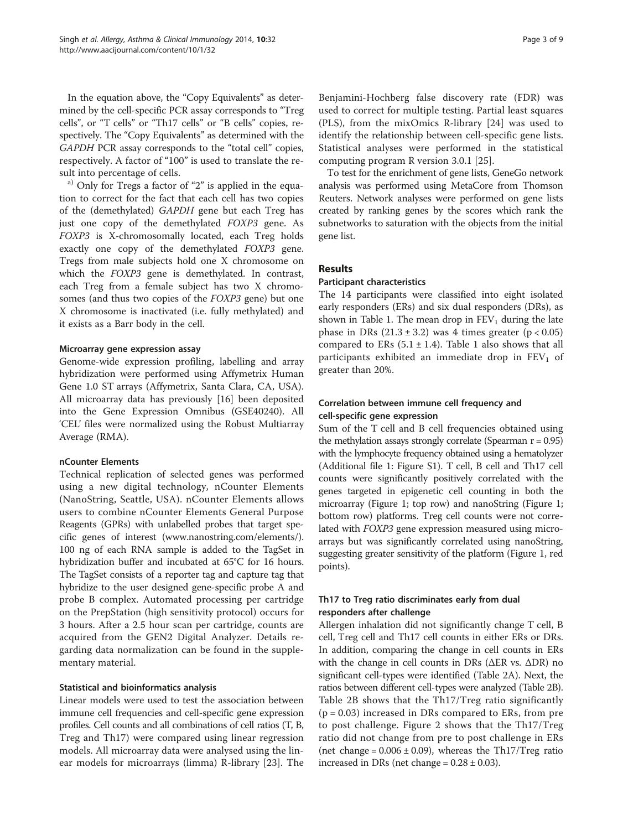In the equation above, the "Copy Equivalents" as determined by the cell-specific PCR assay corresponds to "Treg cells", or "T cells" or "Th17 cells" or "B cells" copies, respectively. The "Copy Equivalents" as determined with the GAPDH PCR assay corresponds to the "total cell" copies, respectively. A factor of "100" is used to translate the result into percentage of cells.

 $a)$  Only for Tregs a factor of "2" is applied in the equation to correct for the fact that each cell has two copies of the (demethylated) GAPDH gene but each Treg has just one copy of the demethylated FOXP3 gene. As FOXP3 is X-chromosomally located, each Treg holds exactly one copy of the demethylated FOXP3 gene. Tregs from male subjects hold one X chromosome on which the FOXP3 gene is demethylated. In contrast, each Treg from a female subject has two X chromosomes (and thus two copies of the FOXP3 gene) but one X chromosome is inactivated (i.e. fully methylated) and it exists as a Barr body in the cell.

#### Microarray gene expression assay

Genome-wide expression profiling, labelling and array hybridization were performed using Affymetrix Human Gene 1.0 ST arrays (Affymetrix, Santa Clara, CA, USA). All microarray data has previously [[16](#page-8-0)] been deposited into the Gene Expression Omnibus (GSE40240). All 'CEL' files were normalized using the Robust Multiarray Average (RMA).

#### nCounter Elements

Technical replication of selected genes was performed using a new digital technology, nCounter Elements (NanoString, Seattle, USA). nCounter Elements allows users to combine nCounter Elements General Purpose Reagents (GPRs) with unlabelled probes that target specific genes of interest [\(www.nanostring.com/elements/](http://www.nanostring.com/elements/)). 100 ng of each RNA sample is added to the TagSet in hybridization buffer and incubated at 65°C for 16 hours. The TagSet consists of a reporter tag and capture tag that hybridize to the user designed gene-specific probe A and probe B complex. Automated processing per cartridge on the PrepStation (high sensitivity protocol) occurs for 3 hours. After a 2.5 hour scan per cartridge, counts are acquired from the GEN2 Digital Analyzer. Details regarding data normalization can be found in the supplementary material.

#### Statistical and bioinformatics analysis

Linear models were used to test the association between immune cell frequencies and cell-specific gene expression profiles. Cell counts and all combinations of cell ratios (T, B, Treg and Th17) were compared using linear regression models. All microarray data were analysed using the linear models for microarrays (limma) R-library [[23\]](#page-8-0). The Benjamini-Hochberg false discovery rate (FDR) was used to correct for multiple testing. Partial least squares (PLS), from the mixOmics R-library [[24\]](#page-8-0) was used to identify the relationship between cell-specific gene lists. Statistical analyses were performed in the statistical computing program R version 3.0.1 [\[25](#page-8-0)].

To test for the enrichment of gene lists, GeneGo network analysis was performed using MetaCore from Thomson Reuters. Network analyses were performed on gene lists created by ranking genes by the scores which rank the subnetworks to saturation with the objects from the initial gene list.

#### Results

#### Participant characteristics

The 14 participants were classified into eight isolated early responders (ERs) and six dual responders (DRs), as shown in Table [1](#page-3-0). The mean drop in  $FEV_1$  during the late phase in DRs  $(21.3 \pm 3.2)$  was 4 times greater  $(p < 0.05)$ compared to ERs  $(5.1 \pm 1.4)$  $(5.1 \pm 1.4)$  $(5.1 \pm 1.4)$ . Table 1 also shows that all participants exhibited an immediate drop in  $FEV<sub>1</sub>$  of greater than 20%.

#### Correlation between immune cell frequency and cell-specific gene expression

Sum of the T cell and B cell frequencies obtained using the methylation assays strongly correlate (Spearman  $r = 0.95$ ) with the lymphocyte frequency obtained using a hematolyzer (Additional file [1](#page-7-0): Figure S1). T cell, B cell and Th17 cell counts were significantly positively correlated with the genes targeted in epigenetic cell counting in both the microarray (Figure [1;](#page-3-0) top row) and nanoString (Figure [1](#page-3-0); bottom row) platforms. Treg cell counts were not correlated with FOXP3 gene expression measured using microarrays but was significantly correlated using nanoString, suggesting greater sensitivity of the platform (Figure [1,](#page-3-0) red points).

#### Th17 to Treg ratio discriminates early from dual responders after challenge

Allergen inhalation did not significantly change T cell, B cell, Treg cell and Th17 cell counts in either ERs or DRs. In addition, comparing the change in cell counts in ERs with the change in cell counts in DRs (ΔER vs. ΔDR) no significant cell-types were identified (Table [2A](#page-4-0)). Next, the ratios between different cell-types were analyzed (Table [2B](#page-4-0)). Table [2B](#page-4-0) shows that the Th17/Treg ratio significantly (p = 0.03) increased in DRs compared to ERs, from pre to post challenge. Figure [2](#page-4-0) shows that the Th17/Treg ratio did not change from pre to post challenge in ERs (net change =  $0.006 \pm 0.09$ ), whereas the Th17/Treg ratio increased in DRs (net change =  $0.28 \pm 0.03$ ).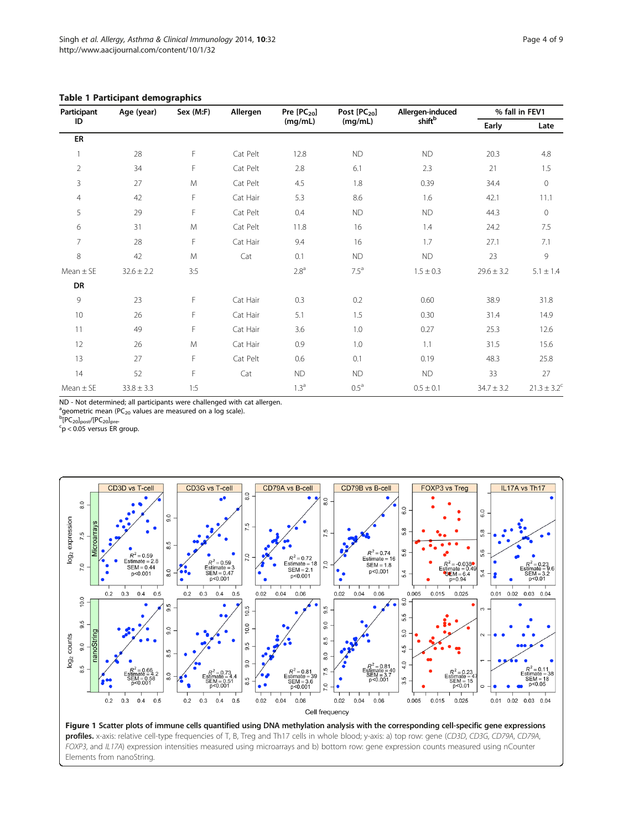| Participant    | Age (year)     | Sex (M:F) | Allergen | Pre $[PC_{20}]$  | Post $[PC_{20}]$ | Allergen-induced<br>shiftb | % fall in FEV1 |                  |
|----------------|----------------|-----------|----------|------------------|------------------|----------------------------|----------------|------------------|
| ID             |                |           |          | (mg/mL)          | (mg/mL)          |                            | Early          | Late             |
| ER             |                |           |          |                  |                  |                            |                |                  |
|                | 28             | F         | Cat Pelt | 12.8             | <b>ND</b>        | <b>ND</b>                  | 20.3           | 4.8              |
| $\overline{2}$ | 34             | F         | Cat Pelt | 2.8              | 6.1              | 2.3                        | 21             | 1.5              |
| 3              | 27             | M         | Cat Pelt | 4.5              | 1.8              | 0.39                       | 34.4           | $\mathbf 0$      |
| $\overline{4}$ | 42             | F         | Cat Hair | 5.3              | 8.6              | 1.6                        | 42.1           | 11.1             |
| 5              | 29             | F         | Cat Pelt | 0.4              | <b>ND</b>        | <b>ND</b>                  | 44.3           | $\mathbb O$      |
| 6              | 31             | M         | Cat Pelt | 11.8             | 16               | 1.4                        | 24.2           | 7.5              |
| 7              | 28             | F         | Cat Hair | 9.4              | 16               | 1.7                        | 27.1           | 7.1              |
| 8              | 42             | M         | Cat      | 0.1              | <b>ND</b>        | <b>ND</b>                  | 23             | 9                |
| $Mean \pm SE$  | $32.6 \pm 2.2$ | 3:5       |          | 2.8 <sup>a</sup> | $7.5^a$          | $1.5 \pm 0.3$              | $29.6 \pm 3.2$ | $5.1\pm1.4$      |
| DR             |                |           |          |                  |                  |                            |                |                  |
| 9              | 23             | F         | Cat Hair | 0.3              | 0.2              | 0.60                       | 38.9           | 31.8             |
| 10             | 26             | F         | Cat Hair | 5.1              | 1.5              | 0.30                       | 31.4           | 14.9             |
| 11             | 49             | F         | Cat Hair | 3.6              | 1.0              | 0.27                       | 25.3           | 12.6             |
| 12             | 26             | M         | Cat Hair | 0.9              | 1.0              | 1.1                        | 31.5           | 15.6             |
| 13             | 27             | F         | Cat Pelt | 0.6              | 0.1              | 0.19                       | 48.3           | 25.8             |
| 14             | 52             | F         | Cat      | <b>ND</b>        | <b>ND</b>        | <b>ND</b>                  | 33             | 27               |
| $Mean \pm SE$  | $33.8 \pm 3.3$ | 1:5       |          | 1.3 <sup>a</sup> | 0.5 <sup>a</sup> | $0.5 \pm 0.1$              | $34.7 \pm 3.2$ | $21.3 \pm 3.2^c$ |

#### <span id="page-3-0"></span>Table 1 Participant demographics

ND - Not determined; all participants were challenged with cat allergen.

a geometric mean (PC20 values are measured on a log scale). <sup>b</sup>

 $\frac{1}{2}$ [PC<sub>20</sub>]<sub>post</sub>/[PC<sub>20</sub>]<sub>pre-</sub>

 $p < 0.05$  versus ER group.

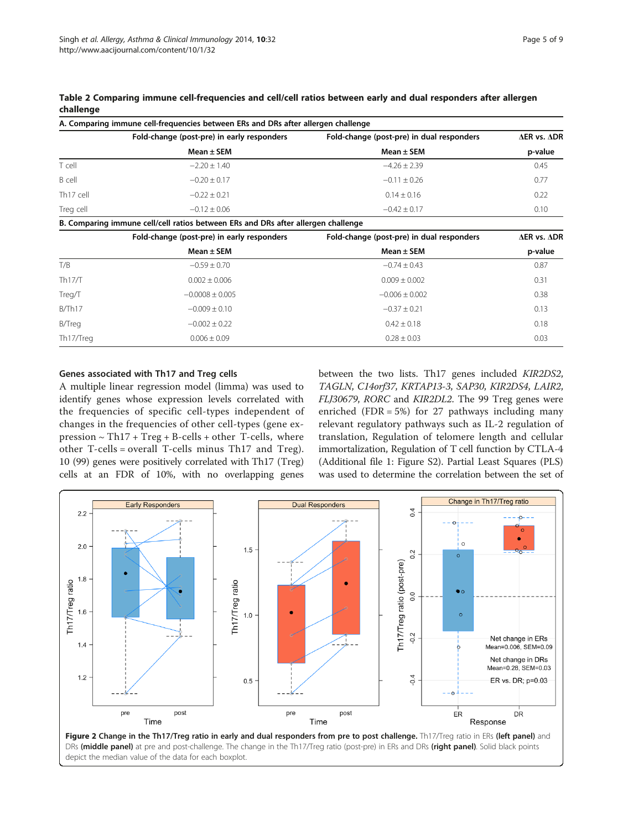| A. Comparing immune cell-frequencies between ERs and DRs after allergen challenge |                                                                                   |                                           |                             |
|-----------------------------------------------------------------------------------|-----------------------------------------------------------------------------------|-------------------------------------------|-----------------------------|
|                                                                                   | Fold-change (post-pre) in early responders                                        | Fold-change (post-pre) in dual responders | $\Delta$ ER vs. $\Delta$ DR |
|                                                                                   | Mean $\pm$ SEM                                                                    | Mean $\pm$ SEM                            | p-value                     |
| T cell                                                                            | $-2.20 + 1.40$                                                                    | $-4.26 + 2.39$                            | 0.45                        |
| B cell                                                                            | $-0.20 + 0.17$                                                                    | $-0.11 + 0.26$                            | 0.77                        |
| Th <sub>17</sub> cell                                                             | $-0.22 + 0.21$                                                                    | $0.14 + 0.16$                             | 0.22                        |
| Treg cell                                                                         | $-0.12 + 0.06$                                                                    | $-0.42 + 0.17$                            | 0.10                        |
|                                                                                   | B. Comparing immune cell/cell ratios between FRs and DRs after allergen challenge |                                           |                             |

<span id="page-4-0"></span>Table 2 Comparing immune cell-frequencies and cell/cell ratios between early and dual responders after allergen challenge

| B. Comparing immune cell/cell ratios between ERs and DRs after allergen challenge |                                            |                                           |                                   |
|-----------------------------------------------------------------------------------|--------------------------------------------|-------------------------------------------|-----------------------------------|
|                                                                                   | Fold-change (post-pre) in early responders | Fold-change (post-pre) in dual responders | $\triangle$ ER vs. $\triangle$ DR |
|                                                                                   | Mean $\pm$ SEM                             | Mean $\pm$ SEM                            | p-value                           |
| T/B                                                                               | $-0.59 + 0.70$                             | $-0.74 + 0.43$                            | 0.87                              |
| Th17/T                                                                            | $0.002 + 0.006$                            | $0.009 + 0.002$                           | 0.31                              |
| Treg/T                                                                            | $-0.0008 \pm 0.005$                        | $-0.006 \pm 0.002$                        | 0.38                              |
| B/Th17                                                                            | $-0.009 + 0.10$                            | $-0.37 + 0.21$                            | 0.13                              |
| B/Treg                                                                            | $-0.002 + 0.22$                            | $0.42 + 0.18$                             | 0.18                              |
| Th17/Treg                                                                         | $0.006 + 0.09$                             | $0.28 + 0.03$                             | 0.03                              |

#### Genes associated with Th17 and Treg cells

A multiple linear regression model (limma) was used to identify genes whose expression levels correlated with the frequencies of specific cell-types independent of changes in the frequencies of other cell-types (gene expression  $\sim$  Th17 + Treg + B-cells + other T-cells, where other T-cells = overall T-cells minus Th17 and Treg). 10 (99) genes were positively correlated with Th17 (Treg) cells at an FDR of 10%, with no overlapping genes between the two lists. Th17 genes included KIR2DS2, TAGLN, C14orf37, KRTAP13-3, SAP30, KIR2DS4, LAIR2, FLJ30679, RORC and KIR2DL2. The 99 Treg genes were enriched (FDR =  $5\%$ ) for 27 pathways including many relevant regulatory pathways such as IL-2 regulation of translation, Regulation of telomere length and cellular immortalization, Regulation of T cell function by CTLA-4 (Additional file [1](#page-7-0): Figure S2). Partial Least Squares (PLS) was used to determine the correlation between the set of



depict the median value of the data for each boxplot.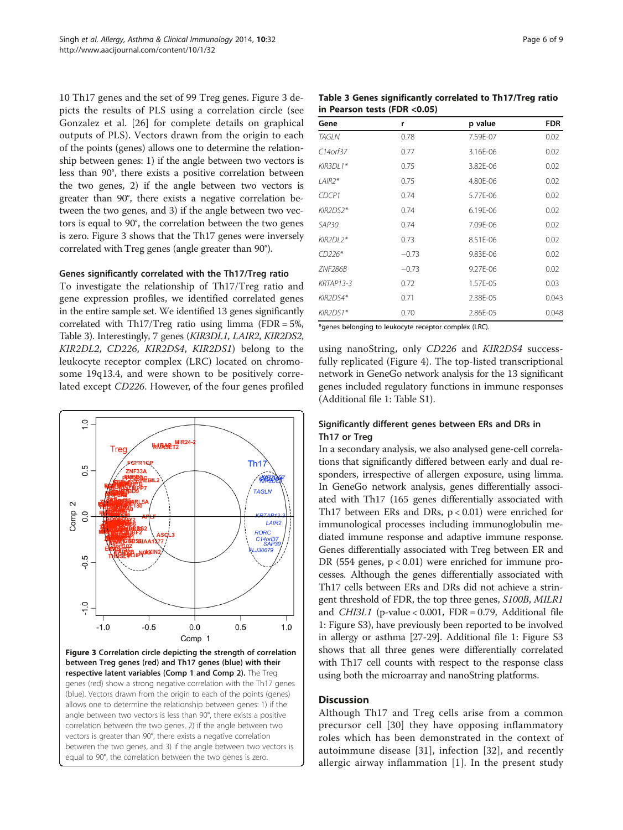10 Th17 genes and the set of 99 Treg genes. Figure 3 depicts the results of PLS using a correlation circle (see Gonzalez et al. [\[26](#page-8-0)] for complete details on graphical outputs of PLS). Vectors drawn from the origin to each of the points (genes) allows one to determine the relationship between genes: 1) if the angle between two vectors is less than 90°, there exists a positive correlation between the two genes, 2) if the angle between two vectors is greater than 90°, there exists a negative correlation between the two genes, and 3) if the angle between two vectors is equal to 90°, the correlation between the two genes is zero. Figure 3 shows that the Th17 genes were inversely correlated with Treg genes (angle greater than 90°).

#### Genes significantly correlated with the Th17/Treg ratio

To investigate the relationship of Th17/Treg ratio and gene expression profiles, we identified correlated genes in the entire sample set. We identified 13 genes significantly correlated with Th17/Treg ratio using limma (FDR =  $5\%$ , Table 3). Interestingly, 7 genes (KIR3DL1, LAIR2, KIR2DS2, KIR2DL2, CD226, KIR2DS4, KIR2DS1) belong to the leukocyte receptor complex (LRC) located on chromosome 19q13.4, and were shown to be positively correlated except CD226. However, of the four genes profiled



| Table 3 Genes significantly correlated to Th17/Treg ratio |  |
|-----------------------------------------------------------|--|
| in Pearson tests (FDR <0.05)                              |  |

| Gene       | r       | p value  | <b>FDR</b> |
|------------|---------|----------|------------|
| TAGLN      | 0.78    | 7.59E-07 | 0.02       |
| C14orf37   | 0.77    | 3.16E-06 | 0.02       |
| $KIR3DI1*$ | 0.75    | 3.82E-06 | 0.02       |
| $LAlR2*$   | 0.75    | 4.80E-06 | 0.02       |
| CDCP1      | 0.74    | 5.77E-06 | 0.02       |
| $KIR2DS2*$ | 0.74    | 6.19E-06 | 0.02       |
| SAP30      | 0.74    | 7.09E-06 | 0.02       |
| $KIR2DL2*$ | 0.73    | 8.51E-06 | 0.02       |
| $CD226*$   | $-0.73$ | 9.83E-06 | 0.02       |
| ZNF286B    | $-0.73$ | 9.27E-06 | 0.02       |
| KRTAP13-3  | 0.72    | 1.57E-05 | 0.03       |
| $KIR2DS4*$ | 0.71    | 2.38E-05 | 0.043      |
| $KIR2DS1*$ | 0.70    | 2.86E-05 | 0.048      |

\*genes belonging to leukocyte receptor complex (LRC).

using nanoString, only CD226 and KIR2DS4 successfully replicated (Figure [4](#page-6-0)). The top-listed transcriptional network in GeneGo network analysis for the 13 significant genes included regulatory functions in immune responses (Additional file [1](#page-7-0): Table S1).

#### Significantly different genes between ERs and DRs in Th17 or Treg

In a secondary analysis, we also analysed gene-cell correlations that significantly differed between early and dual responders, irrespective of allergen exposure, using limma. In GeneGo network analysis, genes differentially associated with Th17 (165 genes differentially associated with Th17 between ERs and DRs, p < 0.01) were enriched for immunological processes including immunoglobulin mediated immune response and adaptive immune response. Genes differentially associated with Treg between ER and DR (554 genes,  $p < 0.01$ ) were enriched for immune processes. Although the genes differentially associated with Th17 cells between ERs and DRs did not achieve a stringent threshold of FDR, the top three genes, S100B, MILR1 and  $CHI3L1$  (p-value < 0.001,  $FDR = 0.79$ , Additional file [1:](#page-7-0) Figure S3), have previously been reported to be involved in allergy or asthma [[27-29\]](#page-8-0). Additional file [1:](#page-7-0) Figure S3 shows that all three genes were differentially correlated with Th17 cell counts with respect to the response class using both the microarray and nanoString platforms.

#### **Discussion**

Although Th17 and Treg cells arise from a common precursor cell [\[30](#page-8-0)] they have opposing inflammatory roles which has been demonstrated in the context of autoimmune disease [[31](#page-8-0)], infection [[32](#page-8-0)], and recently allergic airway inflammation [\[1](#page-7-0)]. In the present study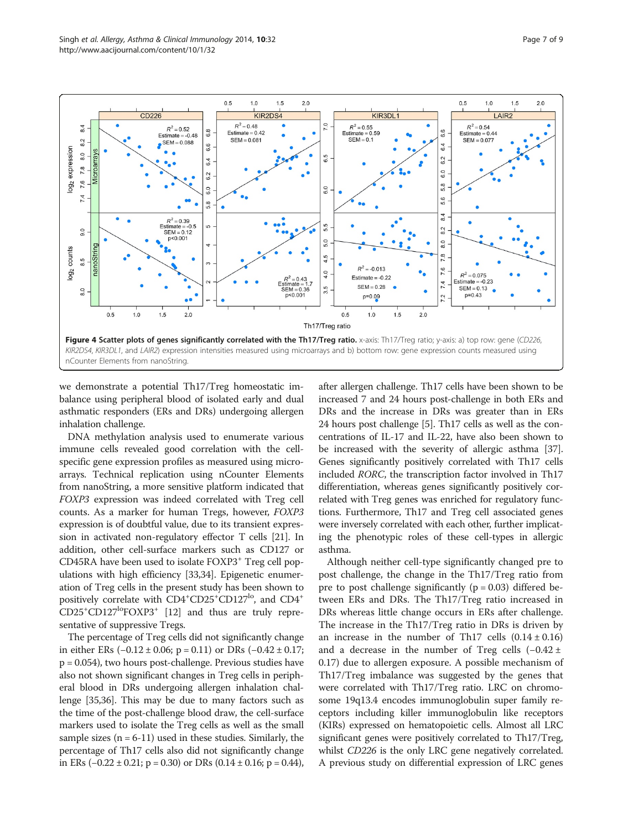<span id="page-6-0"></span>

we demonstrate a potential Th17/Treg homeostatic imbalance using peripheral blood of isolated early and dual asthmatic responders (ERs and DRs) undergoing allergen inhalation challenge.

DNA methylation analysis used to enumerate various immune cells revealed good correlation with the cellspecific gene expression profiles as measured using microarrays. Technical replication using nCounter Elements from nanoString, a more sensitive platform indicated that FOXP3 expression was indeed correlated with Treg cell counts. As a marker for human Tregs, however, FOXP3 expression is of doubtful value, due to its transient expression in activated non-regulatory effector T cells [[21](#page-8-0)]. In addition, other cell-surface markers such as CD127 or CD45RA have been used to isolate FOXP3+ Treg cell populations with high efficiency [\[33,34\]](#page-8-0). Epigenetic enumeration of Treg cells in the present study has been shown to positively correlate with CD4<sup>+</sup>CD25<sup>+</sup>CD127<sup>lo</sup>, and CD4<sup>+</sup> CD25<sup>+</sup>CD[12](#page-8-0)7<sup>lo</sup>FOXP3<sup>+</sup> [12] and thus are truly representative of suppressive Tregs.

The percentage of Treg cells did not significantly change in either ERs  $(-0.12 \pm 0.06; p = 0.11)$  or DRs  $(-0.42 \pm 0.17;$ p = 0.054), two hours post-challenge. Previous studies have also not shown significant changes in Treg cells in peripheral blood in DRs undergoing allergen inhalation challenge [\[35,36](#page-8-0)]. This may be due to many factors such as the time of the post-challenge blood draw, the cell-surface markers used to isolate the Treg cells as well as the small sample sizes  $(n = 6-11)$  used in these studies. Similarly, the percentage of Th17 cells also did not significantly change in ERs  $(-0.22 \pm 0.21; p = 0.30)$  or DRs  $(0.14 \pm 0.16; p = 0.44)$ , after allergen challenge. Th17 cells have been shown to be increased 7 and 24 hours post-challenge in both ERs and DRs and the increase in DRs was greater than in ERs 24 hours post challenge [\[5](#page-8-0)]. Th17 cells as well as the concentrations of IL-17 and IL-22, have also been shown to be increased with the severity of allergic asthma [[37](#page-8-0)]. Genes significantly positively correlated with Th17 cells included RORC, the transcription factor involved in Th17 differentiation, whereas genes significantly positively correlated with Treg genes was enriched for regulatory functions. Furthermore, Th17 and Treg cell associated genes were inversely correlated with each other, further implicating the phenotypic roles of these cell-types in allergic asthma.

Although neither cell-type significantly changed pre to post challenge, the change in the Th17/Treg ratio from pre to post challenge significantly ( $p = 0.03$ ) differed between ERs and DRs. The Th17/Treg ratio increased in DRs whereas little change occurs in ERs after challenge. The increase in the Th17/Treg ratio in DRs is driven by an increase in the number of Th17 cells  $(0.14 \pm 0.16)$ and a decrease in the number of Treg cells  $(-0.42 \pm 1)$ 0.17) due to allergen exposure. A possible mechanism of Th17/Treg imbalance was suggested by the genes that were correlated with Th17/Treg ratio. LRC on chromosome 19q13.4 encodes immunoglobulin super family receptors including killer immunoglobulin like receptors (KIRs) expressed on hematopoietic cells. Almost all LRC significant genes were positively correlated to Th17/Treg, whilst CD226 is the only LRC gene negatively correlated. A previous study on differential expression of LRC genes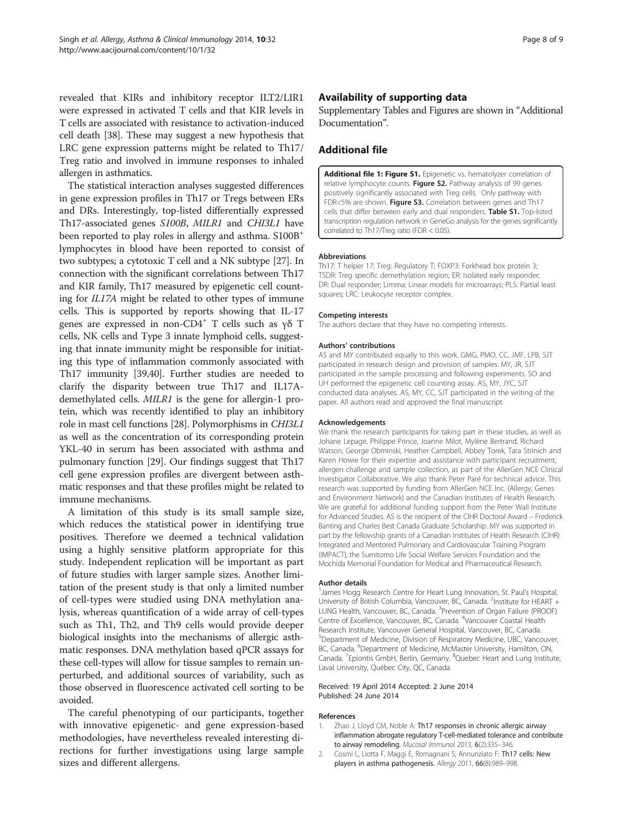<span id="page-7-0"></span>revealed that KIRs and inhibitory receptor ILT2/LIR1 were expressed in activated T cells and that KIR levels in T cells are associated with resistance to activation-induced cell death [\[38](#page-8-0)]. These may suggest a new hypothesis that LRC gene expression patterns might be related to Th17/ Treg ratio and involved in immune responses to inhaled allergen in asthmatics.

The statistical interaction analyses suggested differences in gene expression profiles in Th17 or Tregs between ERs and DRs. Interestingly, top-listed differentially expressed Th17-associated genes S100B, MILR1 and CHI3L1 have been reported to play roles in allergy and asthma. S100B<sup>+</sup> lymphocytes in blood have been reported to consist of two subtypes; a cytotoxic T cell and a NK subtype [\[27\]](#page-8-0). In connection with the significant correlations between Th17 and KIR family, Th17 measured by epigenetic cell counting for IL17A might be related to other types of immune cells. This is supported by reports showing that IL-17 genes are expressed in non-CD4<sup>+</sup> T cells such as γδ T cells, NK cells and Type 3 innate lymphoid cells, suggesting that innate immunity might be responsible for initiating this type of inflammation commonly associated with Th17 immunity [[39,40](#page-8-0)]. Further studies are needed to clarify the disparity between true Th17 and IL17Ademethylated cells. MILR1 is the gene for allergin-1 protein, which was recently identified to play an inhibitory role in mast cell functions [\[28\]](#page-8-0). Polymorphisms in CHI3L1 as well as the concentration of its corresponding protein YKL-40 in serum has been associated with asthma and pulmonary function [[29](#page-8-0)]. Our findings suggest that Th17 cell gene expression profiles are divergent between asthmatic responses and that these profiles might be related to immune mechanisms.

A limitation of this study is its small sample size, which reduces the statistical power in identifying true positives. Therefore we deemed a technical validation using a highly sensitive platform appropriate for this study. Independent replication will be important as part of future studies with larger sample sizes. Another limitation of the present study is that only a limited number of cell-types were studied using DNA methylation analysis, whereas quantification of a wide array of cell-types such as Th1, Th2, and Th9 cells would provide deeper biological insights into the mechanisms of allergic asthmatic responses. DNA methylation based qPCR assays for these cell-types will allow for tissue samples to remain unperturbed, and additional sources of variability, such as those observed in fluorescence activated cell sorting to be avoided.

The careful phenotyping of our participants, together with innovative epigenetic- and gene expression-based methodologies, have nevertheless revealed interesting directions for further investigations using large sample sizes and different allergens.

#### Availability of supporting data

Supplementary Tables and Figures are shown in "Additional Documentation".

#### Additional file

[Additional file 1: Figure S1.](http://www.biomedcentral.com/content/supplementary/1710-1492-10-32-S1.doc) Epigenetic vs. hematolyzer correlation of relative lymphocyte counts. Figure S2. Pathway analysis of 99 genes positively significantly associated with Treg cells. Only pathway with FDR<5% are shown. Figure S3. Correlation between genes and Th17 cells that differ between early and dual responders. Table S1. Top-listed transcription regulation network in GeneGo analysis for the genes significantly correlated to Th17/Treg ratio (FDR < 0.05).

#### Abbreviations

Th17: T helper 17; Treg: Regulatory T; FOXP3: Forkhead box protein 3; TSDR: Treg specific demethylation region; ER: Isolated early responder; DR: Dual responder; Limma: Linear models for microarrays; PLS: Partial least squares; LRC: Leukocyte receptor complex.

#### Competing interests

The authors declare that they have no competing interests.

#### Authors' contributions

AS and MY contributed equally to this work. GMG, PMO, CC, JMF, LPB, SJT participated in research design and provision of samples. MY, JR, SJT participated in the sample processing and following experiments. SO and UH performed the epigenetic cell counting assay. AS, MY, JYC, SJT conducted data analyses. AS, MY, CC, SJT participated in the writing of the paper. All authors read and approved the final manuscript.

#### Acknowledgements

We thank the research participants for taking part in these studies, as well as Johane Lepage, Philippe Prince, Joanne Milot, Mylène Bertrand, Richard Watson, George Obminski, Heather Campbell, Abbey Torek, Tara Strinich and Karen Howie for their expertise and assistance with participant recruitment, allergen challenge and sample collection, as part of the AllerGen NCE Clinical Investigator Collaborative. We also thank Peter Paré for technical advice. This research was supported by funding from AllerGen NCE Inc. (Allergy, Genes and Environment Network) and the Canadian Institutes of Health Research. We are grateful for additional funding support from the Peter Wall Institute for Advanced Studies. AS is the recipient of the CIHR Doctoral Award – Frederick Banting and Charles Best Canada Graduate Scholarship. MY was supported in part by the fellowship grants of a Canadian Institutes of Health Research (CIHR) Integrated and Mentored Pulmonary and Cardiovascular Training Program (IMPACT), the Sumitomo Life Social Welfare Services Foundation and the Mochida Memorial Foundation for Medical and Pharmaceutical Research.

#### Author details

<sup>1</sup> James Hogg Research Centre for Heart Lung Innovation, St. Paul's Hospital, University of British Columbia, Vancouver, BC, Canada. <sup>2</sup>Institute for HEART + LUNG Health, Vancouver, BC, Canada. <sup>3</sup>Prevention of Organ Failure (PROOF) Centre of Excellence, Vancouver, BC, Canada. <sup>4</sup>Vancouver Coastal Health Research Institute, Vancouver General Hospital, Vancouver, BC, Canada. 5 Department of Medicine, Division of Respiratory Medicine, UBC, Vancouver, BC, Canada. <sup>6</sup>Department of Medicine, McMaster University, Hamilton, ON, Canada. <sup>7</sup> Epiontis GmbH, Berlin, Germany. <sup>8</sup> Quebec Heart and Lung Institute Laval University, Québec City, QC, Canada.

#### Received: 19 April 2014 Accepted: 2 June 2014 Published: 24 June 2014

#### References

- 1. Zhao J, Lloyd CM, Noble A: Th17 responses in chronic allergic airway inflammation abrogate regulatory T-cell-mediated tolerance and contribute to airway remodeling. Mucosal Immunol 2013, 6(2):335–346.
- 2. Cosmi L, Liotta F, Maggi E, Romagnani S, Annunziato F: Th17 cells: New players in asthma pathogenesis. Allergy 2011, 66(8):989–998.